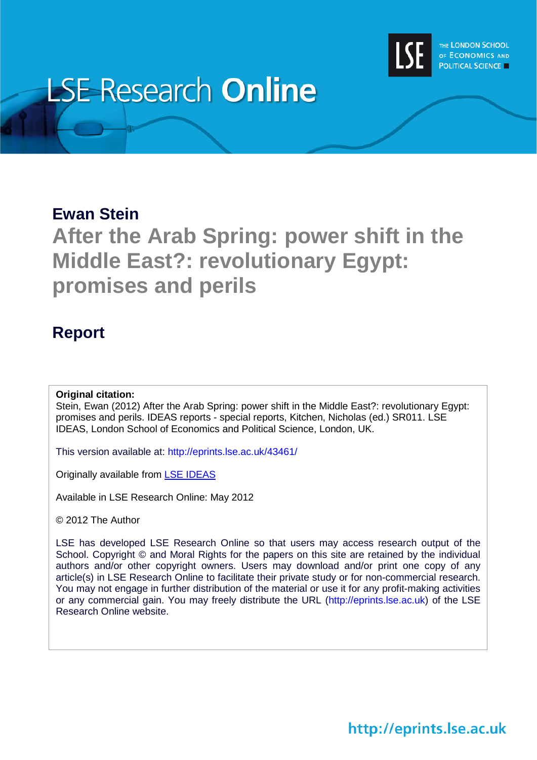

# **LSE Research Online**

### **Ewan Stein**

## **After the Arab Spring: power shift in the Middle East?: revolutionary Egypt: promises and perils**

### **Report**

#### **Original citation:**

Stein, Ewan (2012) After the Arab Spring: power shift in the Middle East?: revolutionary Egypt: promises and perils. IDEAS reports - special reports, Kitchen, Nicholas (ed.) SR011. LSE IDEAS, London School of Economics and Political Science, London, UK.

This version available at: http://eprints.lse.ac.uk/43461/

Originally available from [LSE IDEAS](http://www2.lse.ac.uk/IDEAS/Home.aspx)

Available in LSE Research Online: May 2012

© 2012 The Author

LSE has developed LSE Research Online so that users may access research output of the School. Copyright © and Moral Rights for the papers on this site are retained by the individual authors and/or other copyright owners. Users may download and/or print one copy of any article(s) in LSE Research Online to facilitate their private study or for non-commercial research. You may not engage in further distribution of the material or use it for any profit-making activities or any commercial gain. You may freely distribute the URL (http://eprints.lse.ac.uk) of the LSE Research Online website.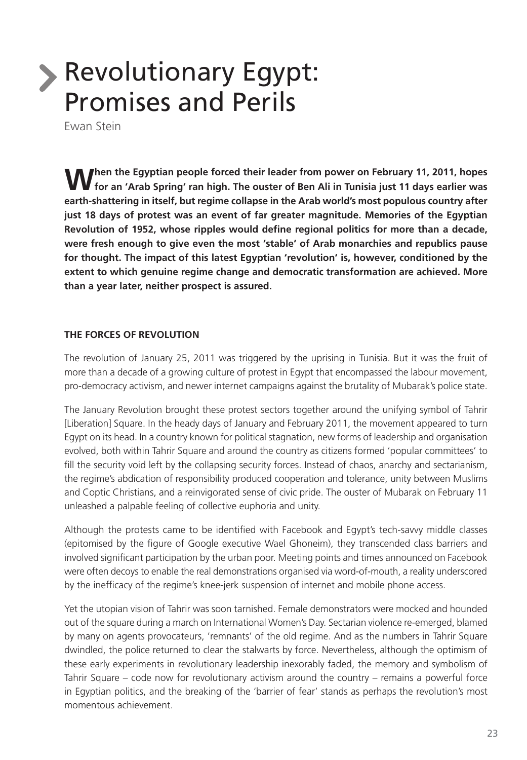# **Revolutionary Egypt:** Promises and Perils

Ewan Stein

**W** hen the Egyptian people forced their leader from power on February 11, 2011, hopes for an 'Arab Spring' ran high. The ouster of Ben Ali in Tunisia just 11 days earlier was **earth-shattering in itself, but regime collapse in the Arab world's most populous country after just 18 days of protest was an event of far greater magnitude. Memories of the Egyptian Revolution of 1952, whose ripples would define regional politics for more than a decade, were fresh enough to give even the most 'stable' of Arab monarchies and republics pause for thought. The impact of this latest Egyptian 'revolution' is, however, conditioned by the extent to which genuine regime change and democratic transformation are achieved. More than a year later, neither prospect is assured.**

#### **THE FORCES OF REVOLUTION**

The revolution of January 25, 2011 was triggered by the uprising in Tunisia. But it was the fruit of more than a decade of a growing culture of protest in Egypt that encompassed the labour movement, pro-democracy activism, and newer internet campaigns against the brutality of Mubarak's police state.

The January Revolution brought these protest sectors together around the unifying symbol of Tahrir [Liberation] Square. In the heady days of January and February 2011, the movement appeared to turn Egypt on its head. In a country known for political stagnation, new forms of leadership and organisation evolved, both within Tahrir Square and around the country as citizens formed 'popular committees' to fill the security void left by the collapsing security forces. Instead of chaos, anarchy and sectarianism, the regime's abdication of responsibility produced cooperation and tolerance, unity between Muslims and Coptic Christians, and a reinvigorated sense of civic pride. The ouster of Mubarak on February 11 unleashed a palpable feeling of collective euphoria and unity.

Although the protests came to be identified with Facebook and Egypt's tech-savvy middle classes (epitomised by the figure of Google executive Wael Ghoneim), they transcended class barriers and involved significant participation by the urban poor. Meeting points and times announced on Facebook were often decoys to enable the real demonstrations organised via word-of-mouth, a reality underscored by the inefficacy of the regime's knee-jerk suspension of internet and mobile phone access.

Yet the utopian vision of Tahrir was soon tarnished. Female demonstrators were mocked and hounded out of the square during a march on International Women's Day. Sectarian violence re-emerged, blamed by many on agents provocateurs, 'remnants' of the old regime. And as the numbers in Tahrir Square dwindled, the police returned to clear the stalwarts by force. Nevertheless, although the optimism of these early experiments in revolutionary leadership inexorably faded, the memory and symbolism of Tahrir Square – code now for revolutionary activism around the country – remains a powerful force in Egyptian politics, and the breaking of the 'barrier of fear' stands as perhaps the revolution's most momentous achievement.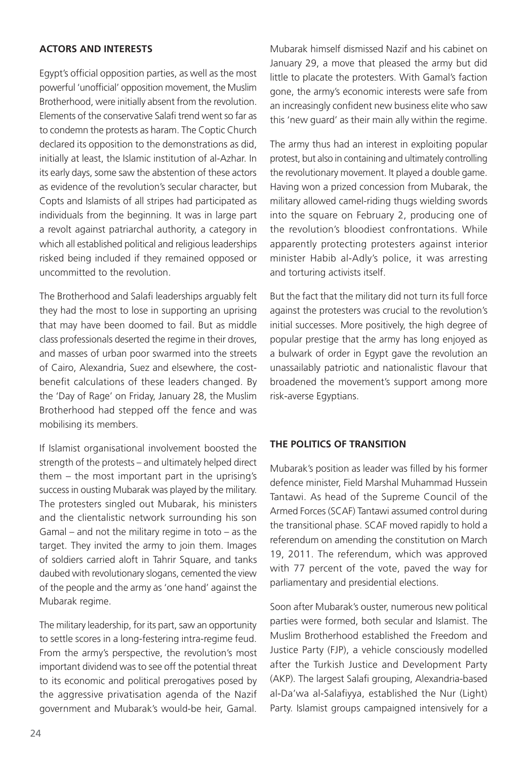#### **ACTORS AND INTERESTS**

Egypt's official opposition parties, as well as the most powerful 'unofficial' opposition movement, the Muslim Brotherhood, were initially absent from the revolution. Elements of the conservative Salafi trend went so far as to condemn the protests as haram. The Coptic Church declared its opposition to the demonstrations as did, initially at least, the Islamic institution of al-Azhar. In its early days, some saw the abstention of these actors as evidence of the revolution's secular character, but Copts and Islamists of all stripes had participated as individuals from the beginning. It was in large part a revolt against patriarchal authority, a category in which all established political and religious leaderships risked being included if they remained opposed or uncommitted to the revolution.

The Brotherhood and Salafi leaderships arguably felt they had the most to lose in supporting an uprising that may have been doomed to fail. But as middle class professionals deserted the regime in their droves, and masses of urban poor swarmed into the streets of Cairo, Alexandria, Suez and elsewhere, the costbenefit calculations of these leaders changed. By the 'Day of Rage' on Friday, January 28, the Muslim Brotherhood had stepped off the fence and was mobilising its members.

If Islamist organisational involvement boosted the strength of the protests – and ultimately helped direct them – the most important part in the uprising's success in ousting Mubarak was played by the military. The protesters singled out Mubarak, his ministers and the clientalistic network surrounding his son Gamal – and not the military regime in toto – as the target. They invited the army to join them. Images of soldiers carried aloft in Tahrir Square, and tanks daubed with revolutionary slogans, cemented the view of the people and the army as 'one hand' against the Mubarak regime.

The military leadership, for its part, saw an opportunity to settle scores in a long-festering intra-regime feud. From the army's perspective, the revolution's most important dividend was to see off the potential threat to its economic and political prerogatives posed by the aggressive privatisation agenda of the Nazif government and Mubarak's would-be heir, Gamal.

Mubarak himself dismissed Nazif and his cabinet on January 29, a move that pleased the army but did little to placate the protesters. With Gamal's faction gone, the army's economic interests were safe from an increasingly confident new business elite who saw this 'new guard' as their main ally within the regime.

The army thus had an interest in exploiting popular protest, but also in containing and ultimately controlling the revolutionary movement. It played a double game. Having won a prized concession from Mubarak, the military allowed camel-riding thugs wielding swords into the square on February 2, producing one of the revolution's bloodiest confrontations. While apparently protecting protesters against interior minister Habib al-Adly's police, it was arresting and torturing activists itself.

But the fact that the military did not turn its full force against the protesters was crucial to the revolution's initial successes. More positively, the high degree of popular prestige that the army has long enjoyed as a bulwark of order in Egypt gave the revolution an unassailably patriotic and nationalistic flavour that broadened the movement's support among more risk-averse Egyptians.

#### **THE POLITICS OF TRANSITION**

Mubarak's position as leader was filled by his former defence minister, Field Marshal Muhammad Hussein Tantawi. As head of the Supreme Council of the Armed Forces (SCAF) Tantawi assumed control during the transitional phase. SCAF moved rapidly to hold a referendum on amending the constitution on March 19, 2011. The referendum, which was approved with 77 percent of the vote, paved the way for parliamentary and presidential elections.

Soon after Mubarak's ouster, numerous new political parties were formed, both secular and Islamist. The Muslim Brotherhood established the Freedom and Justice Party (FJP), a vehicle consciously modelled after the Turkish Justice and Development Party (AKP). The largest Salafi grouping, Alexandria-based al-Da'wa al-Salafiyya, established the Nur (Light) Party. Islamist groups campaigned intensively for a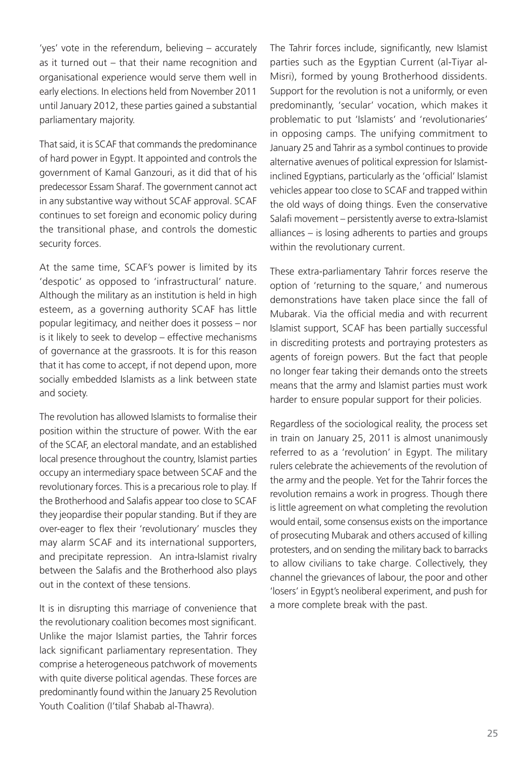'yes' vote in the referendum, believing – accurately as it turned out – that their name recognition and organisational experience would serve them well in early elections. In elections held from November 2011 until January 2012, these parties gained a substantial parliamentary majority.

That said, it is SCAF that commands the predominance of hard power in Egypt. It appointed and controls the government of Kamal Ganzouri, as it did that of his predecessor Essam Sharaf. The government cannot act in any substantive way without SCAF approval. SCAF continues to set foreign and economic policy during the transitional phase, and controls the domestic security forces.

At the same time, SCAF's power is limited by its 'despotic' as opposed to 'infrastructural' nature. Although the military as an institution is held in high esteem, as a governing authority SCAF has little popular legitimacy, and neither does it possess – nor is it likely to seek to develop – effective mechanisms of governance at the grassroots. It is for this reason that it has come to accept, if not depend upon, more socially embedded Islamists as a link between state and society.

The revolution has allowed Islamists to formalise their position within the structure of power. With the ear of the SCAF, an electoral mandate, and an established local presence throughout the country, Islamist parties occupy an intermediary space between SCAF and the revolutionary forces. This is a precarious role to play. If the Brotherhood and Salafis appear too close to SCAF they jeopardise their popular standing. But if they are over-eager to flex their 'revolutionary' muscles they may alarm SCAF and its international supporters, and precipitate repression. An intra-Islamist rivalry between the Salafis and the Brotherhood also plays out in the context of these tensions.

It is in disrupting this marriage of convenience that the revolutionary coalition becomes most significant. Unlike the major Islamist parties, the Tahrir forces lack significant parliamentary representation. They comprise a heterogeneous patchwork of movements with quite diverse political agendas. These forces are predominantly found within the January 25 Revolution Youth Coalition (I'tilaf Shabab al-Thawra).

The Tahrir forces include, significantly, new Islamist parties such as the Egyptian Current (al-Tiyar al-Misri), formed by young Brotherhood dissidents. Support for the revolution is not a uniformly, or even predominantly, 'secular' vocation, which makes it problematic to put 'Islamists' and 'revolutionaries' in opposing camps. The unifying commitment to January 25 and Tahrir as a symbol continues to provide alternative avenues of political expression for Islamistinclined Egyptians, particularly as the 'official' Islamist vehicles appear too close to SCAF and trapped within the old ways of doing things. Even the conservative Salafi movement – persistently averse to extra-Islamist alliances – is losing adherents to parties and groups within the revolutionary current.

These extra-parliamentary Tahrir forces reserve the option of 'returning to the square,' and numerous demonstrations have taken place since the fall of Mubarak. Via the official media and with recurrent Islamist support, SCAF has been partially successful in discrediting protests and portraying protesters as agents of foreign powers. But the fact that people no longer fear taking their demands onto the streets means that the army and Islamist parties must work harder to ensure popular support for their policies.

Regardless of the sociological reality, the process set in train on January 25, 2011 is almost unanimously referred to as a 'revolution' in Egypt. The military rulers celebrate the achievements of the revolution of the army and the people. Yet for the Tahrir forces the revolution remains a work in progress. Though there is little agreement on what completing the revolution would entail, some consensus exists on the importance of prosecuting Mubarak and others accused of killing protesters, and on sending the military back to barracks to allow civilians to take charge. Collectively, they channel the grievances of labour, the poor and other 'losers' in Egypt's neoliberal experiment, and push for a more complete break with the past.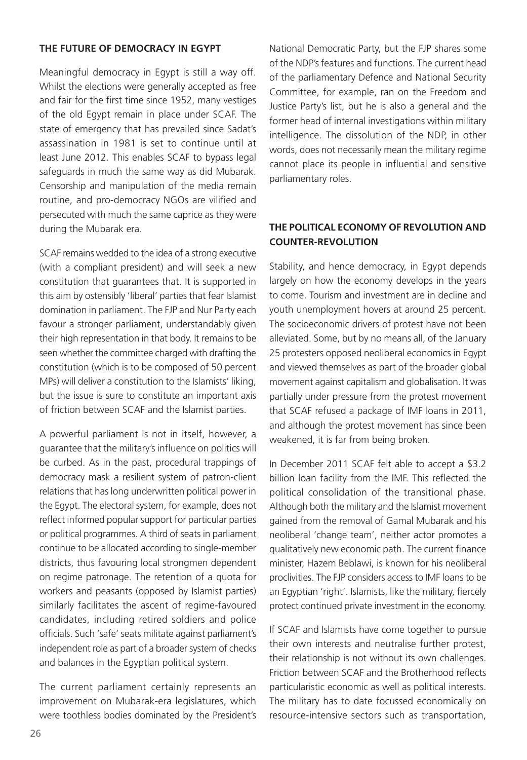#### **THE FUTURE OF DEMOCRACY IN EGYPT**

Meaningful democracy in Egypt is still a way off. Whilst the elections were generally accepted as free and fair for the first time since 1952, many vestiges of the old Egypt remain in place under SCAF. The state of emergency that has prevailed since Sadat's assassination in 1981 is set to continue until at least June 2012. This enables SCAF to bypass legal safeguards in much the same way as did Mubarak. Censorship and manipulation of the media remain routine, and pro-democracy NGOs are vilified and persecuted with much the same caprice as they were during the Mubarak era.

SCAF remains wedded to the idea of a strong executive (with a compliant president) and will seek a new constitution that guarantees that. It is supported in this aim by ostensibly 'liberal' parties that fear Islamist domination in parliament. The FJP and Nur Party each favour a stronger parliament, understandably given their high representation in that body. It remains to be seen whether the committee charged with drafting the constitution (which is to be composed of 50 percent MPs) will deliver a constitution to the Islamists' liking, but the issue is sure to constitute an important axis of friction between SCAF and the Islamist parties.

A powerful parliament is not in itself, however, a guarantee that the military's influence on politics will be curbed. As in the past, procedural trappings of democracy mask a resilient system of patron-client relations that has long underwritten political power in the Egypt. The electoral system, for example, does not reflect informed popular support for particular parties or political programmes. A third of seats in parliament continue to be allocated according to single-member districts, thus favouring local strongmen dependent on regime patronage. The retention of a quota for workers and peasants (opposed by Islamist parties) similarly facilitates the ascent of regime-favoured candidates, including retired soldiers and police officials. Such 'safe' seats militate against parliament's independent role as part of a broader system of checks and balances in the Egyptian political system.

The current parliament certainly represents an improvement on Mubarak-era legislatures, which were toothless bodies dominated by the President's National Democratic Party, but the FJP shares some of the NDP's features and functions. The current head of the parliamentary Defence and National Security Committee, for example, ran on the Freedom and Justice Party's list, but he is also a general and the former head of internal investigations within military intelligence. The dissolution of the NDP, in other words, does not necessarily mean the military regime cannot place its people in influential and sensitive parliamentary roles.

#### **THE POLITICAL ECONOMY OF REVOLUTION AND COUNTER-REVOLUTION**

Stability, and hence democracy, in Egypt depends largely on how the economy develops in the years to come. Tourism and investment are in decline and youth unemployment hovers at around 25 percent. The socioeconomic drivers of protest have not been alleviated. Some, but by no means all, of the January 25 protesters opposed neoliberal economics in Egypt and viewed themselves as part of the broader global movement against capitalism and globalisation. It was partially under pressure from the protest movement that SCAF refused a package of IMF loans in 2011, and although the protest movement has since been weakened, it is far from being broken.

In December 2011 SCAF felt able to accept a \$3.2 billion loan facility from the IMF. This reflected the political consolidation of the transitional phase. Although both the military and the Islamist movement gained from the removal of Gamal Mubarak and his neoliberal 'change team', neither actor promotes a qualitatively new economic path. The current finance minister, Hazem Beblawi, is known for his neoliberal proclivities. The FJP considers access to IMF loans to be an Egyptian 'right'. Islamists, like the military, fiercely protect continued private investment in the economy.

If SCAF and Islamists have come together to pursue their own interests and neutralise further protest, their relationship is not without its own challenges. Friction between SCAF and the Brotherhood reflects particularistic economic as well as political interests. The military has to date focussed economically on resource-intensive sectors such as transportation,